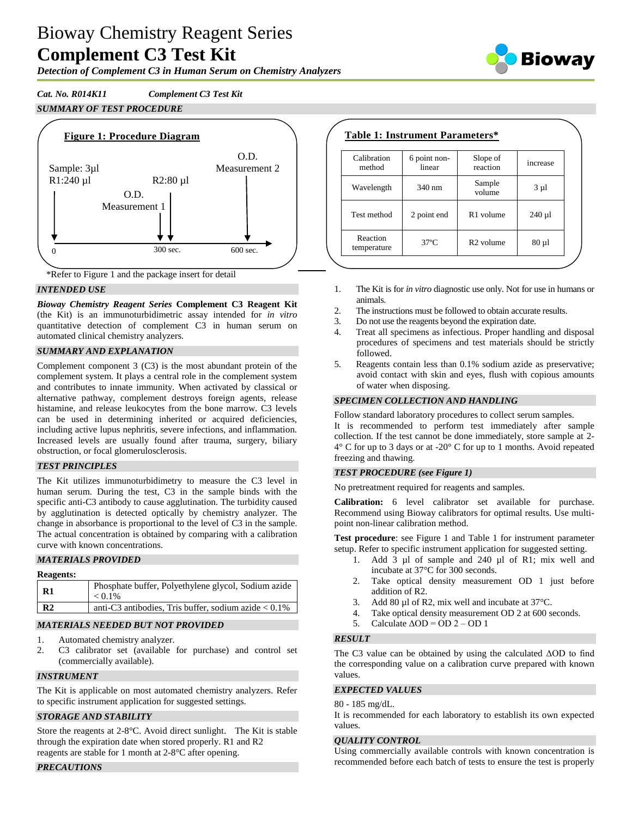# Bioway Chemistry Reagent Series **Complement C3 Test Kit**

*Detection of Complement C3 in Human Serum on Chemistry Analyzers*

*Cat. No. R014K11 Complement C3 Test Kit SUMMARY OF TEST PROCEDURE*



\*Refer to Figure 1 and the package insert for detail

## *INTENDED USE*

*Bioway Chemistry Reagent Series* **Complement C3 Reagent Kit**  (the Kit) is an immunoturbidimetric assay intended for *in vitro* quantitative detection of complement C3 in human serum on automated clinical chemistry analyzers.

## *SUMMARY AND EXPLANATION*

Complement component 3 (C3) is the most abundant protein of the complement system. It plays a central role in the complement system and contributes to innate immunity. When activated by classical or alternative pathway, complement destroys foreign agents, release histamine, and release leukocytes from the bone marrow. C3 levels can be used in determining inherited or acquired deficiencies, including active lupus nephritis, severe infections, and inflammation. Increased levels are usually found after trauma, surgery, biliary obstruction, or focal glomerulosclerosis.

## *TEST PRINCIPLES*

The Kit utilizes immunoturbidimetry to measure the C3 level in human serum. During the test, C3 in the sample binds with the specific anti-C3 antibody to cause agglutination. The turbidity caused by agglutination is detected optically by chemistry analyzer. The change in absorbance is proportional to the level of C3 in the sample. The actual concentration is obtained by comparing with a calibration curve with known concentrations.

# *MATERIALS PROVIDED*

| <b>Reagents:</b> |                                                                  |
|------------------|------------------------------------------------------------------|
| <b>R1</b>        | Phosphate buffer, Polyethylene glycol, Sodium azide<br>$< 0.1\%$ |
| R <sub>2</sub>   | anti-C3 antibodies, Tris buffer, sodium azide $< 0.1\%$          |

# *MATERIALS NEEDED BUT NOT PROVIDED*

- 1. Automated chemistry analyzer.
- 2. C3 calibrator set (available for purchase) and control set (commercially available).

## *INSTRUMENT*

The Kit is applicable on most automated chemistry analyzers. Refer to specific instrument application for suggested settings.

## *STORAGE AND STABILITY*

Store the reagents at 2-8°C. Avoid direct sunlight. The Kit is stable through the expiration date when stored properly. R1 and R2 reagents are stable for 1 month at 2-8°C after opening.

## *PRECAUTIONS*

| Calibration<br>method   | 6 point non-<br>linear | Slope of<br>reaction  | increase   |
|-------------------------|------------------------|-----------------------|------------|
| Wavelength              | 340 nm                 | Sample<br>volume      | $3 \mu l$  |
| Test method             | 2 point end            | R <sub>1</sub> volume | $240 \mu$  |
| Reaction<br>temperature | $37^\circ$ C           | R <sub>2</sub> volume | $80 \mu 1$ |

- 1. The Kit is for *in vitro* diagnostic use only. Not for use in humans or animals.
- 2. The instructions must be followed to obtain accurate results.
- 3. Do not use the reagents beyond the expiration date.
- 4. Treat all specimens as infectious. Proper handling and disposal procedures of specimens and test materials should be strictly followed.
- 5. Reagents contain less than 0.1% sodium azide as preservative; avoid contact with skin and eyes, flush with copious amounts of water when disposing.

## *SPECIMEN COLLECTION AND HANDLING*

Follow standard laboratory procedures to collect serum samples. It is recommended to perform test immediately after sample collection. If the test cannot be done immediately, store sample at 2- 4° C for up to 3 days or at -20° C for up to 1 months. Avoid repeated freezing and thawing.

## *TEST PROCEDURE (see Figure 1)*

No pretreatment required for reagents and samples.

**Calibration:** 6 level calibrator set available for purchase. Recommend using Bioway calibrators for optimal results. Use multipoint non-linear calibration method.

**Test procedure**: see Figure 1 and Table 1 for instrument parameter setup. Refer to specific instrument application for suggested setting.

- 1. Add 3 µl of sample and 240 µl of R1; mix well and incubate at 37°C for 300 seconds.
- 2. Take optical density measurement OD 1 just before addition of R2.
- 3. Add 80 µl of R2, mix well and incubate at 37 °C.
- 4. Take optical density measurement OD 2 at 600 seconds.
- 5. Calculate  $\triangle$ OD = OD 2 OD 1

## *RESULT*

The C3 value can be obtained by using the calculated ΔOD to find the corresponding value on a calibration curve prepared with known values.

#### *EXPECTED VALUES*

#### 80 - 185 mg/dL.

It is recommended for each laboratory to establish its own expected values.

#### *QUALITY CONTROL*

Using commercially available controls with known concentration is recommended before each batch of tests to ensure the test is properly